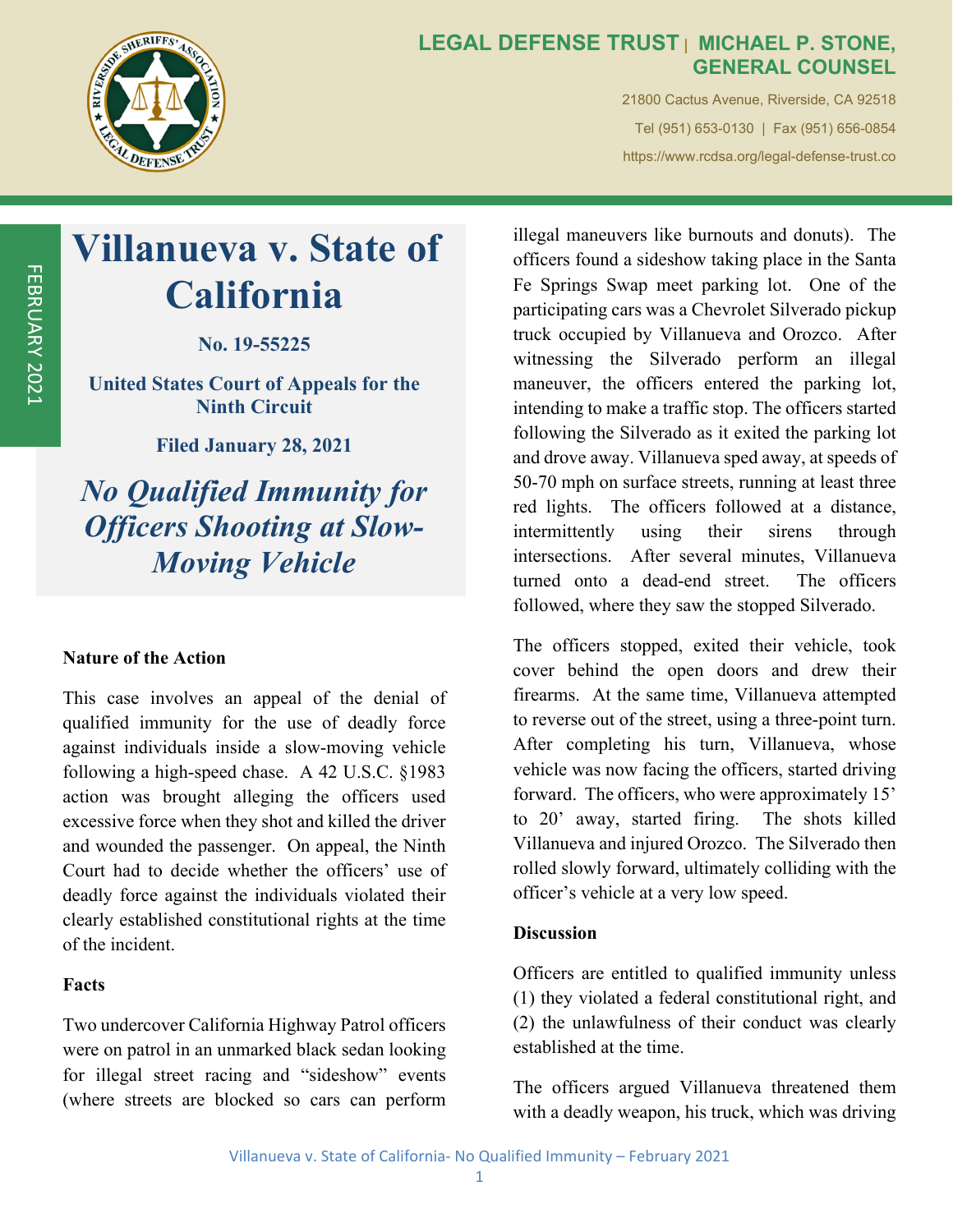

### **LEGAL DEFENSE TRUST | MICHAEL P. STONE, GENERAL COUNSEL**

21800 Cactus Avenue, Riverside, CA 92518 Tel (951) 653-0130 | Fax (951) 656-0854 https://www.rcdsa.org/legal-defense-trust.co

# **Villanueva v. State of California**

**No. 19-55225** 

**United States Court of Appeals for the Ninth Circuit** 

**Filed January 28, 2021** 

*No Qualified Immunity for Officers Shooting at Slow-Moving Vehicle* 

#### **Nature of the Action**

This case involves an appeal of the denial of qualified immunity for the use of deadly force against individuals inside a slow-moving vehicle following a high-speed chase. A 42 U.S.C. §1983 action was brought alleging the officers used excessive force when they shot and killed the driver and wounded the passenger. On appeal, the Ninth Court had to decide whether the officers' use of deadly force against the individuals violated their clearly established constitutional rights at the time of the incident.

#### **Facts**

Two undercover California Highway Patrol officers were on patrol in an unmarked black sedan looking for illegal street racing and "sideshow" events (where streets are blocked so cars can perform

illegal maneuvers like burnouts and donuts). The officers found a sideshow taking place in the Santa Fe Springs Swap meet parking lot. One of the participating cars was a Chevrolet Silverado pickup truck occupied by Villanueva and Orozco. After witnessing the Silverado perform an illegal maneuver, the officers entered the parking lot, intending to make a traffic stop. The officers started following the Silverado as it exited the parking lot and drove away. Villanueva sped away, at speeds of 50-70 mph on surface streets, running at least three red lights. The officers followed at a distance, intermittently using their sirens through intersections. After several minutes, Villanueva turned onto a dead-end street. The officers followed, where they saw the stopped Silverado.

The officers stopped, exited their vehicle, took cover behind the open doors and drew their firearms. At the same time, Villanueva attempted to reverse out of the street, using a three-point turn. After completing his turn, Villanueva, whose vehicle was now facing the officers, started driving forward. The officers, who were approximately 15' to 20' away, started firing. The shots killed Villanueva and injured Orozco. The Silverado then rolled slowly forward, ultimately colliding with the officer's vehicle at a very low speed.

#### **Discussion**

Officers are entitled to qualified immunity unless (1) they violated a federal constitutional right, and (2) the unlawfulness of their conduct was clearly established at the time.

The officers argued Villanueva threatened them with a deadly weapon, his truck, which was driving